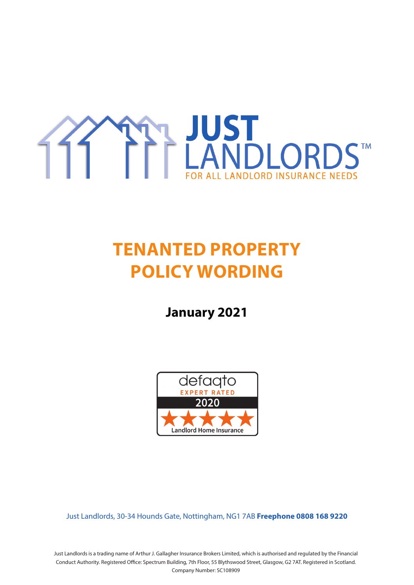

# **TENANTED PROPERTY POLICY WORDING**

**January 2021**



Just Landlords, 30-34 Hounds Gate, Nottingham, NG1 7AB **Freephone 0808 168 9220**

Just Landlords is a trading name of Arthur J. Gallagher Insurance Brokers Limited, which is authorised and regulated by the Financial Conduct Authority. Registered Office: Spectrum Building, 7th Floor, 55 Blythswood Street, Glasgow, G2 7AT. Registered in Scotland. Company Number: SC108909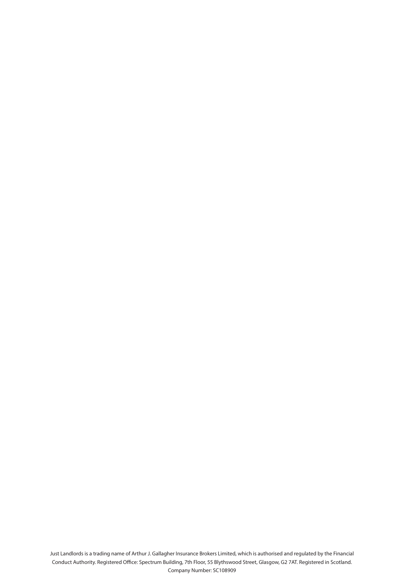Just Landlords is a trading name of Arthur J. Gallagher Insurance Brokers Limited, which is authorised and regulated by the Financial Conduct Authority. Registered Office: Spectrum Building, 7th Floor, 55 Blythswood Street, Glasgow, G2 7AT. Registered in Scotland. Company Number: SC108909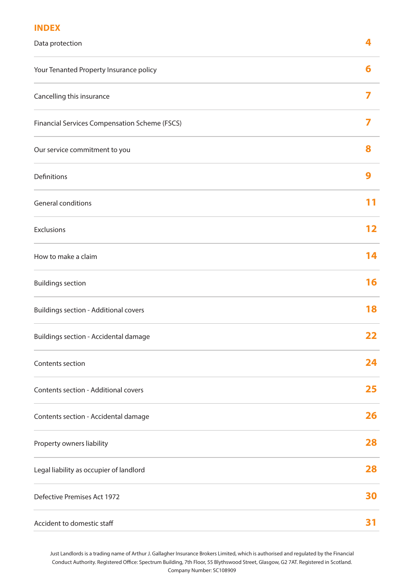## **INDEX**

| Data protection                               | 4  |
|-----------------------------------------------|----|
| Your Tenanted Property Insurance policy       | 6  |
| Cancelling this insurance                     | 7  |
| Financial Services Compensation Scheme (FSCS) | 7  |
| Our service commitment to you                 | 8  |
| Definitions                                   | 9  |
| General conditions                            | 11 |
| Exclusions                                    | 12 |
| How to make a claim                           | 14 |
| <b>Buildings section</b>                      | 16 |
| <b>Buildings section - Additional covers</b>  | 18 |
| Buildings section - Accidental damage         | 22 |
| Contents section                              | 24 |
| Contents section - Additional covers          | 25 |
| Contents section - Accidental damage          | 26 |
| Property owners liability                     | 28 |
| Legal liability as occupier of landlord       | 28 |
| Defective Premises Act 1972                   | 30 |
| Accident to domestic staff                    | 31 |

Just Landlords is a trading name of Arthur J. Gallagher Insurance Brokers Limited, which is authorised and regulated by the Financial Conduct Authority. Registered Office: Spectrum Building, 7th Floor, 55 Blythswood Street, Glasgow, G2 7AT. Registered in Scotland. Company Number: SC108909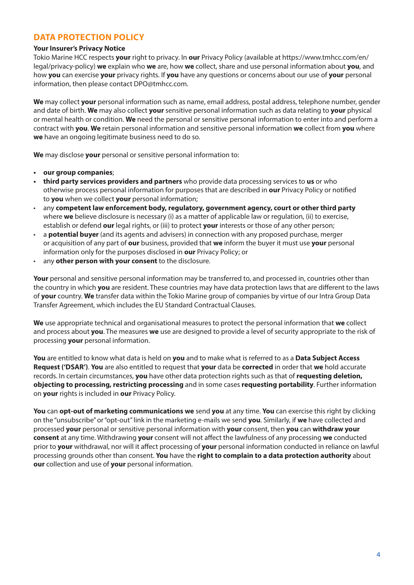## **DATA PROTECTION POLICY**

### **Your Insurer's Privacy Notice**

Tokio Marine HCC respects **your** right to privacy. In **our** Privacy Policy (available at https://www.tmhcc.com/en/ legal/privacy-policy) **we** explain who **we** are, how **we** collect, share and use personal information about **you**, and how **you** can exercise **your** privacy rights. If **you** have any questions or concerns about our use of **your** personal information, then please contact DPO@tmhcc.com.

**We** may collect **your** personal information such as name, email address, postal address, telephone number, gender and date of birth. **We** may also collect **your** sensitive personal information such as data relating to **your** physical or mental health or condition. **We** need the personal or sensitive personal information to enter into and perform a contract with **you**. **We** retain personal information and sensitive personal information **we** collect from **you** where **we** have an ongoing legitimate business need to do so.

**We** may disclose **your** personal or sensitive personal information to:

- **• our group companies**;
- **• third party services providers and partners** who provide data processing services to **us** or who otherwise process personal information for purposes that are described in **our** Privacy Policy or notified to **you** when we collect **your** personal information;
- any **competent law enforcement body, regulatory, government agency, court or other third party** where **we** believe disclosure is necessary (i) as a matter of applicable law or regulation, (ii) to exercise, establish or defend **our** legal rights, or (iii) to protect **your** interests or those of any other person;
- a **potential buyer** (and its agents and advisers) in connection with any proposed purchase, merger or acquisition of any part of **our** business, provided that **we** inform the buyer it must use **your** personal information only for the purposes disclosed in **our** Privacy Policy; or
- any **other person with your consent** to the disclosure.

**Your** personal and sensitive personal information may be transferred to, and processed in, countries other than the country in which **you** are resident. These countries may have data protection laws that are different to the laws of **your** country. **We** transfer data within the Tokio Marine group of companies by virtue of our Intra Group Data Transfer Agreement, which includes the EU Standard Contractual Clauses.

**We** use appropriate technical and organisational measures to protect the personal information that **we** collect and process about **you**. The measures **we** use are designed to provide a level of security appropriate to the risk of processing **your** personal information.

**You** are entitled to know what data is held on **you** and to make what is referred to as a **Data Subject Access Request ('DSAR')**. **You** are also entitled to request that **your** data be **corrected** in order that **we** hold accurate records. In certain circumstances, **you** have other data protection rights such as that of **requesting deletion, objecting to processing, restricting processing** and in some cases **requesting portability**. Further information on **your** rights is included in **our** Privacy Policy.

**You** can **opt-out of marketing communications we** send **you** at any time. **You** can exercise this right by clicking on the "unsubscribe" or "opt-out" link in the marketing e-mails we send **you**. Similarly, if **we** have collected and processed **your** personal or sensitive personal information with **your** consent, then **you** can **withdraw your consent** at any time. Withdrawing **your** consent will not affect the lawfulness of any processing **we** conducted prior to **your** withdrawal, nor will it affect processing of **your** personal information conducted in reliance on lawful processing grounds other than consent. **You** have the **right to complain to a data protection authority** about **our** collection and use of **your** personal information.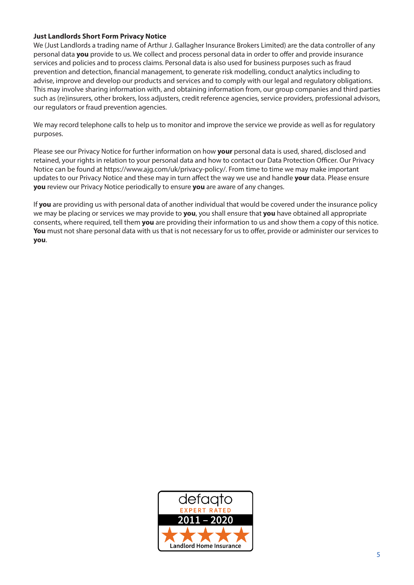## **Just Landlords Short Form Privacy Notice**

We (Just Landlords a trading name of Arthur J. Gallagher Insurance Brokers Limited) are the data controller of any personal data **you** provide to us. We collect and process personal data in order to offer and provide insurance services and policies and to process claims. Personal data is also used for business purposes such as fraud prevention and detection, financial management, to generate risk modelling, conduct analytics including to advise, improve and develop our products and services and to comply with our legal and regulatory obligations. This may involve sharing information with, and obtaining information from, our group companies and third parties such as (re)insurers, other brokers, loss adjusters, credit reference agencies, service providers, professional advisors, our regulators or fraud prevention agencies.

We may record telephone calls to help us to monitor and improve the service we provide as well as for regulatory purposes.

Please see our Privacy Notice for further information on how **your** personal data is used, shared, disclosed and retained, your rights in relation to your personal data and how to contact our Data Protection Officer. Our Privacy Notice can be found at https://www.ajg.com/uk/privacy-policy/. From time to time we may make important updates to our Privacy Notice and these may in turn affect the way we use and handle **your** data. Please ensure **you** review our Privacy Notice periodically to ensure **you** are aware of any changes.

If **you** are providing us with personal data of another individual that would be covered under the insurance policy we may be placing or services we may provide to **you**, you shall ensure that **you** have obtained all appropriate consents, where required, tell them **you** are providing their information to us and show them a copy of this notice. **You** must not share personal data with us that is not necessary for us to offer, provide or administer our services to **you**.

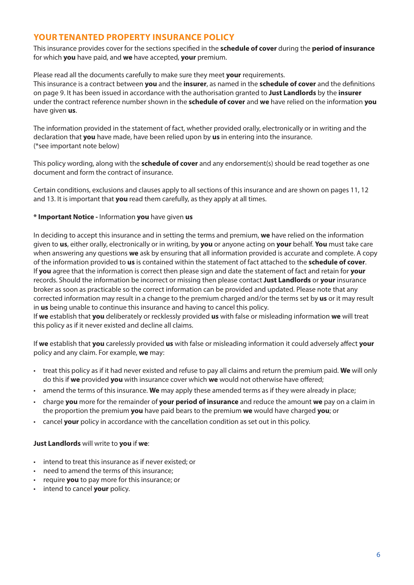## **YOUR TENANTED PROPERTY INSURANCE POLICY**

This insurance provides cover for the sections specified in the **schedule of cover** during the **period of insurance** for which **you** have paid, and **we** have accepted, **your** premium.

Please read all the documents carefully to make sure they meet **your** requirements.

This insurance is a contract between **you** and the **insurer**, as named in the **schedule of cover** and the definitions on page 9. It has been issued in accordance with the authorisation granted to **Just Landlords** by the **insurer** under the contract reference number shown in the **schedule of cover** and **we** have relied on the information **you** have given **us**.

The information provided in the statement of fact, whether provided orally, electronically or in writing and the declaration that **you** have made, have been relied upon by **us** in entering into the insurance. (\*see important note below)

This policy wording, along with the **schedule of cover** and any endorsement(s) should be read together as one document and form the contract of insurance.

Certain conditions, exclusions and clauses apply to all sections of this insurance and are shown on pages 11, 12 and 13. It is important that **you** read them carefully, as they apply at all times.

## **\* Important Notice -** Information **you** have given **us**

In deciding to accept this insurance and in setting the terms and premium, **we** have relied on the information given to **us**, either orally, electronically or in writing, by **you** or anyone acting on **your** behalf. **You** must take care when answering any questions **we** ask by ensuring that all information provided is accurate and complete. A copy of the information provided to **us** is contained within the statement of fact attached to the **schedule of cover**. If **you** agree that the information is correct then please sign and date the statement of fact and retain for **your**  records. Should the information be incorrect or missing then please contact **Just Landlords** or **your** insurance broker as soon as practicable so the correct information can be provided and updated. Please note that any corrected information may result in a change to the premium charged and/or the terms set by **us** or it may result in **us** being unable to continue this insurance and having to cancel this policy.

If **we** establish that **you** deliberately or recklessly provided **us** with false or misleading information **we** will treat this policy as if it never existed and decline all claims.

If **we** establish that **you** carelessly provided **us** with false or misleading information it could adversely affect **your** policy and any claim. For example, **we** may:

- treat this policy as if it had never existed and refuse to pay all claims and return the premium paid. **We** will only do this if **we** provided **you** with insurance cover which **we** would not otherwise have offered;
- amend the terms of this insurance. **We** may apply these amended terms as if they were already in place;
- charge **you** more for the remainder of **your period of insurance** and reduce the amount **we** pay on a claim in the proportion the premium **you** have paid bears to the premium **we** would have charged **you**; or
- cancel **your** policy in accordance with the cancellation condition as set out in this policy.

#### **Just Landlords** will write to **you** if **we**:

- intend to treat this insurance as if never existed; or
- need to amend the terms of this insurance;
- require **you** to pay more for this insurance; or
- intend to cancel **your** policy.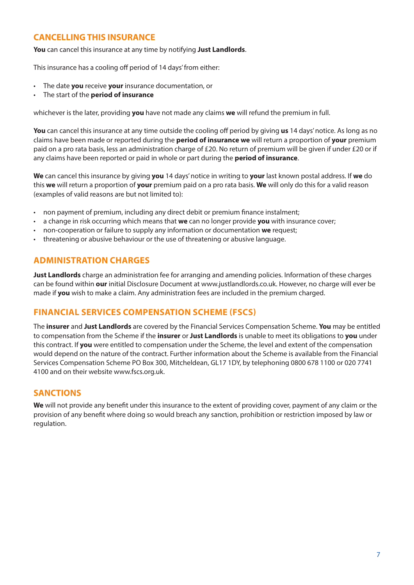## **CANCELLING THIS INSURANCE**

**You** can cancel this insurance at any time by notifying **Just Landlords**.

This insurance has a cooling off period of 14 days' from either:

- The date **you** receive **your** insurance documentation, or
- The start of the **period of insurance**

whichever is the later, providing **you** have not made any claims **we** will refund the premium in full.

**You** can cancel this insurance at any time outside the cooling off period by giving **us** 14 days' notice. As long as no claims have been made or reported during the **period of insurance we** will return a proportion of **your** premium paid on a pro rata basis, less an administration charge of £20. No return of premium will be given if under £20 or if any claims have been reported or paid in whole or part during the **period of insurance**.

**We** can cancel this insurance by giving **you** 14 days' notice in writing to **your** last known postal address. If **we** do this **we** will return a proportion of **your** premium paid on a pro rata basis. **We** will only do this for a valid reason (examples of valid reasons are but not limited to):

- non payment of premium, including any direct debit or premium finance instalment;
- a change in risk occurring which means that **we** can no longer provide **you** with insurance cover;
- non-cooperation or failure to supply any information or documentation **we** request;
- threatening or abusive behaviour or the use of threatening or abusive language.

## **ADMINISTRATION CHARGES**

**Just Landlords** charge an administration fee for arranging and amending policies. Information of these charges can be found within **our** initial Disclosure Document at www.justlandlords.co.uk. However, no charge will ever be made if **you** wish to make a claim. Any administration fees are included in the premium charged.

## **FINANCIAL SERVICES COMPENSATION SCHEME (FSCS)**

The **insurer** and **Just Landlords** are covered by the Financial Services Compensation Scheme. **You** may be entitled to compensation from the Scheme if the **insurer** or **Just Landlords** is unable to meet its obligations to **you** under this contract. If **you** were entitled to compensation under the Scheme, the level and extent of the compensation would depend on the nature of the contract. Further information about the Scheme is available from the Financial Services Compensation Scheme PO Box 300, Mitcheldean, GL17 1DY, by telephoning 0800 678 1100 or 020 7741 4100 and on their website www.fscs.org.uk.

## **SANCTIONS**

**We** will not provide any benefit under this insurance to the extent of providing cover, payment of any claim or the provision of any benefit where doing so would breach any sanction, prohibition or restriction imposed by law or regulation.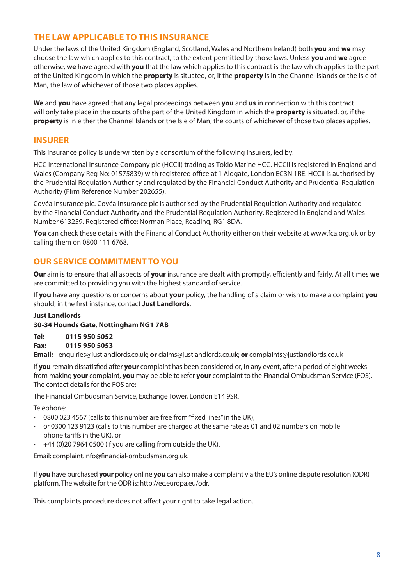## **THE LAW APPLICABLE TO THIS INSURANCE**

Under the laws of the United Kingdom (England, Scotland, Wales and Northern Ireland) both **you** and **we** may choose the law which applies to this contract, to the extent permitted by those laws. Unless **you** and **we** agree otherwise, **we** have agreed with **you** that the law which applies to this contract is the law which applies to the part of the United Kingdom in which the **property** is situated, or, if the **property** is in the Channel Islands or the Isle of Man, the law of whichever of those two places applies.

**We** and **you** have agreed that any legal proceedings between **you** and **us** in connection with this contract will only take place in the courts of the part of the United Kingdom in which the **property** is situated, or, if the **property** is in either the Channel Islands or the Isle of Man, the courts of whichever of those two places applies.

## **INSURER**

This insurance policy is underwritten by a consortium of the following insurers, led by:

HCC International Insurance Company plc (HCCII) trading as Tokio Marine HCC. HCCII is registered in England and Wales (Company Reg No: 01575839) with registered office at 1 Aldgate, London EC3N 1RE. HCCII is authorised by the Prudential Regulation Authority and regulated by the Financial Conduct Authority and Prudential Regulation Authority (Firm Reference Number 202655).

Covéa Insurance plc. Covéa Insurance plc is authorised by the Prudential Regulation Authority and regulated by the Financial Conduct Authority and the Prudential Regulation Authority. Registered in England and Wales Number 613259. Registered office: Norman Place, Reading, RG1 8DA.

**You** can check these details with the Financial Conduct Authority either on their website at www.fca.org.uk or by calling them on 0800 111 6768.

## **OUR SERVICE COMMITMENT TO YOU**

**Our** aim is to ensure that all aspects of **your** insurance are dealt with promptly, efficiently and fairly. At all times **we**  are committed to providing you with the highest standard of service.

If **you** have any questions or concerns about **your** policy, the handling of a claim or wish to make a complaint **you** should, in the first instance, contact **Just Landlords**.

#### **Just Landlords**

#### **30-34 Hounds Gate, Nottingham NG1 7AB**

**Tel: 0115 950 5052**

## **Fax: 0115 950 5053**

**Email:** enquiries@justlandlords.co.uk; **or** claims@justlandlords.co.uk; **or** complaints@justlandlords.co.uk

If **you** remain dissatisfied after **your** complaint has been considered or, in any event, after a period of eight weeks from making **your** complaint, **you** may be able to refer **your** complaint to the Financial Ombudsman Service (FOS). The contact details for the FOS are:

The Financial Ombudsman Service, Exchange Tower, London E14 9SR.

Telephone:

- 0800 023 4567 (calls to this number are free from "fixed lines" in the UK),
- or 0300 123 9123 (calls to this number are charged at the same rate as 01 and 02 numbers on mobile phone tariffs in the UK), or
- +44 (0)20 7964 0500 (if you are calling from outside the UK).

Email: complaint.info@financial-ombudsman.org.uk.

If **you** have purchased **your** policy online **you** can also make a complaint via the EU's online dispute resolution (ODR) platform. The website for the ODR is: http://ec.europa.eu/odr.

This complaints procedure does not affect your right to take legal action.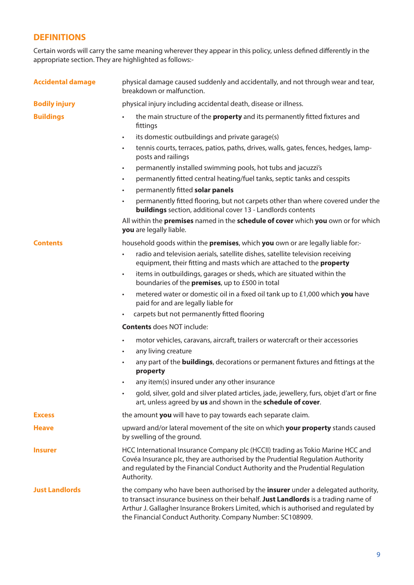## **DEFINITIONS**

Certain words will carry the same meaning wherever they appear in this policy, unless defined differently in the appropriate section. They are highlighted as follows:-

| <b>Accidental damage</b>     | physical damage caused suddenly and accidentally, and not through wear and tear,<br>breakdown or malfunction.                                                                                                                                                                                                                |  |
|------------------------------|------------------------------------------------------------------------------------------------------------------------------------------------------------------------------------------------------------------------------------------------------------------------------------------------------------------------------|--|
| <b>Bodily injury</b>         | physical injury including accidental death, disease or illness.                                                                                                                                                                                                                                                              |  |
| <b>Buildings</b>             | the main structure of the <b>property</b> and its permanently fitted fixtures and<br>fittings                                                                                                                                                                                                                                |  |
|                              | its domestic outbuildings and private garage(s)<br>$\bullet$                                                                                                                                                                                                                                                                 |  |
|                              | tennis courts, terraces, patios, paths, drives, walls, gates, fences, hedges, lamp-<br>$\bullet$<br>posts and railings                                                                                                                                                                                                       |  |
|                              | permanently installed swimming pools, hot tubs and jacuzzi's<br>$\bullet$                                                                                                                                                                                                                                                    |  |
|                              | permanently fitted central heating/fuel tanks, septic tanks and cesspits<br>$\bullet$                                                                                                                                                                                                                                        |  |
|                              | permanently fitted solar panels<br>$\bullet$                                                                                                                                                                                                                                                                                 |  |
|                              | permanently fitted flooring, but not carpets other than where covered under the<br><b>buildings</b> section, additional cover 13 - Landlords contents                                                                                                                                                                        |  |
|                              | All within the premises named in the schedule of cover which you own or for which<br>you are legally liable.                                                                                                                                                                                                                 |  |
| <b>Contents</b>              | household goods within the premises, which you own or are legally liable for:-                                                                                                                                                                                                                                               |  |
|                              | radio and television aerials, satellite dishes, satellite television receiving<br>equipment, their fitting and masts which are attached to the property                                                                                                                                                                      |  |
|                              | items in outbuildings, garages or sheds, which are situated within the<br>$\bullet$<br>boundaries of the premises, up to £500 in total                                                                                                                                                                                       |  |
|                              | metered water or domestic oil in a fixed oil tank up to £1,000 which you have<br>$\bullet$<br>paid for and are legally liable for                                                                                                                                                                                            |  |
|                              | carpets but not permanently fitted flooring<br>$\bullet$                                                                                                                                                                                                                                                                     |  |
|                              | <b>Contents</b> does NOT include:                                                                                                                                                                                                                                                                                            |  |
|                              | motor vehicles, caravans, aircraft, trailers or watercraft or their accessories<br>$\bullet$                                                                                                                                                                                                                                 |  |
|                              | any living creature<br>$\bullet$                                                                                                                                                                                                                                                                                             |  |
|                              | any part of the <b>buildings</b> , decorations or permanent fixtures and fittings at the<br>$\bullet$<br>property                                                                                                                                                                                                            |  |
|                              | any item(s) insured under any other insurance<br>$\bullet$                                                                                                                                                                                                                                                                   |  |
|                              | gold, silver, gold and silver plated articles, jade, jewellery, furs, objet d'art or fine<br>art, unless agreed by us and shown in the schedule of cover.                                                                                                                                                                    |  |
| <b>Excess</b>                | the amount you will have to pay towards each separate claim.                                                                                                                                                                                                                                                                 |  |
| <b>Heave</b>                 | upward and/or lateral movement of the site on which your property stands caused<br>by swelling of the ground.                                                                                                                                                                                                                |  |
| <i><u><b>Insurer</b></u></i> | HCC International Insurance Company plc (HCCII) trading as Tokio Marine HCC and<br>Covéa Insurance plc, they are authorised by the Prudential Regulation Authority<br>and regulated by the Financial Conduct Authority and the Prudential Regulation<br>Authority.                                                           |  |
| <b>Just Landlords</b>        | the company who have been authorised by the insurer under a delegated authority,<br>to transact insurance business on their behalf. Just Landlords is a trading name of<br>Arthur J. Gallagher Insurance Brokers Limited, which is authorised and regulated by<br>the Financial Conduct Authority. Company Number: SC108909. |  |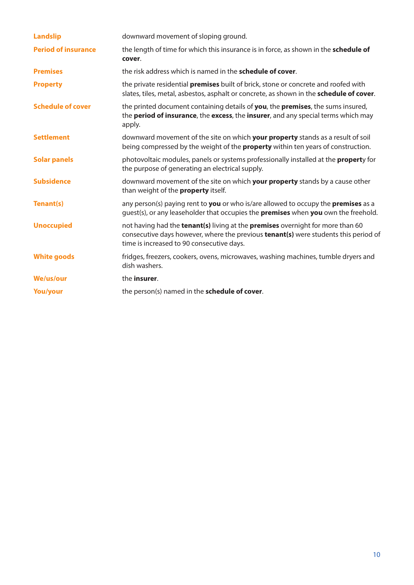| <b>Landslip</b>            | downward movement of sloping ground.                                                                                                                                                                               |
|----------------------------|--------------------------------------------------------------------------------------------------------------------------------------------------------------------------------------------------------------------|
| <b>Period of insurance</b> | the length of time for which this insurance is in force, as shown in the schedule of<br>cover.                                                                                                                     |
| <b>Premises</b>            | the risk address which is named in the <b>schedule of cover</b> .                                                                                                                                                  |
| <b>Property</b>            | the private residential <b>premises</b> built of brick, stone or concrete and roofed with<br>slates, tiles, metal, asbestos, asphalt or concrete, as shown in the schedule of cover.                               |
| <b>Schedule of cover</b>   | the printed document containing details of you, the premises, the sums insured,<br>the <b>period of insurance</b> , the <b>excess</b> , the <b>insurer</b> , and any special terms which may<br>apply.             |
| <b>Settlement</b>          | downward movement of the site on which your property stands as a result of soil<br>being compressed by the weight of the <b>property</b> within ten years of construction.                                         |
| <b>Solar panels</b>        | photovoltaic modules, panels or systems professionally installed at the <b>propert</b> y for<br>the purpose of generating an electrical supply.                                                                    |
| <b>Subsidence</b>          | downward movement of the site on which your property stands by a cause other<br>than weight of the <b>property</b> itself.                                                                                         |
| Tenant(s)                  | any person(s) paying rent to you or who is/are allowed to occupy the premises as a<br>quest(s), or any leaseholder that occupies the <b>premises</b> when you own the freehold.                                    |
| <b>Unoccupied</b>          | not having had the tenant(s) living at the premises overnight for more than 60<br>consecutive days however, where the previous tenant(s) were students this period of<br>time is increased to 90 consecutive days. |
| <b>White goods</b>         | fridges, freezers, cookers, ovens, microwaves, washing machines, tumble dryers and<br>dish washers.                                                                                                                |
| <b>We/us/our</b>           | the <b>insurer</b> .                                                                                                                                                                                               |
| <b>You/your</b>            | the person(s) named in the schedule of cover.                                                                                                                                                                      |
|                            |                                                                                                                                                                                                                    |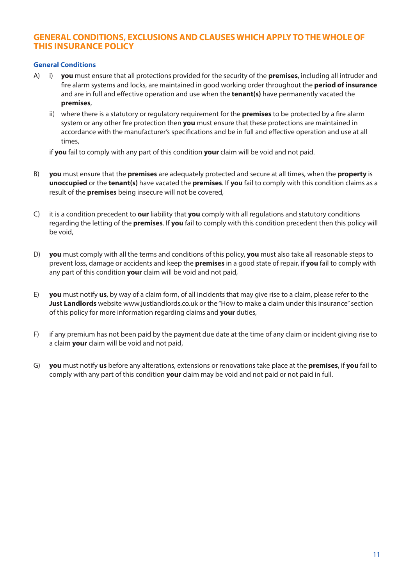## **GENERAL CONDITIONS, EXCLUSIONS AND CLAUSES WHICH APPLY TO THE WHOLE OF THIS INSURANCE POLICY**

### **General Conditions**

- A) i) **you** must ensure that all protections provided for the security of the **premises**, including all intruder and fire alarm systems and locks, are maintained in good working order throughout the **period of insurance** and are in full and effective operation and use when the **tenant(s)** have permanently vacated the **premises**,
	- ii) where there is a statutory or regulatory requirement for the **premises** to be protected by a fire alarm system or any other fire protection then **you** must ensure that these protections are maintained in accordance with the manufacturer's specifications and be in full and effective operation and use at all times,

if **you** fail to comply with any part of this condition **your** claim will be void and not paid.

- B) **you** must ensure that the **premises** are adequately protected and secure at all times, when the **property** is **unoccupied** or the **tenant(s)** have vacated the **premises**. If **you** fail to comply with this condition claims as a result of the **premises** being insecure will not be covered,
- C) it is a condition precedent to **our** liability that **you** comply with all regulations and statutory conditions regarding the letting of the **premises**. If **you** fail to comply with this condition precedent then this policy will be void,
- D) **you** must comply with all the terms and conditions of this policy, **you** must also take all reasonable steps to prevent loss, damage or accidents and keep the **premises** in a good state of repair, if **you** fail to comply with any part of this condition **your** claim will be void and not paid,
- E) **you** must notify **us**, by way of a claim form, of all incidents that may give rise to a claim, please refer to the **Just Landlords** website www.justlandlords.co.uk or the "How to make a claim under this insurance" section of this policy for more information regarding claims and **your** duties,
- F) if any premium has not been paid by the payment due date at the time of any claim or incident giving rise to a claim **your** claim will be void and not paid,
- G) **you** must notify **us** before any alterations, extensions or renovations take place at the **premises**, if **you** fail to comply with any part of this condition **your** claim may be void and not paid or not paid in full.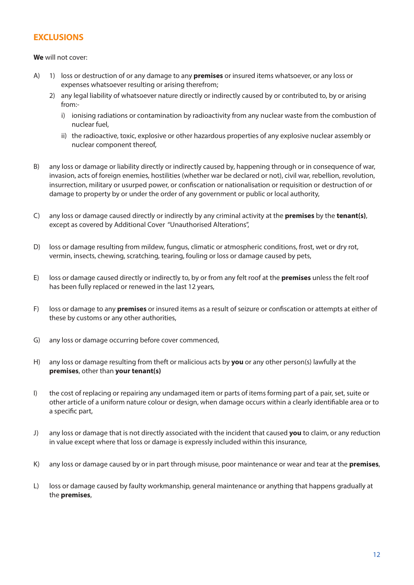## **EXCLUSIONS**

## **We** will not cover:

- A) 1) loss or destruction of or any damage to any **premises** or insured items whatsoever, or any loss or expenses whatsoever resulting or arising therefrom;
	- 2) any legal liability of whatsoever nature directly or indirectly caused by or contributed to, by or arising from:
		- i) ionising radiations or contamination by radioactivity from any nuclear waste from the combustion of nuclear fuel,
		- ii) the radioactive, toxic, explosive or other hazardous properties of any explosive nuclear assembly or nuclear component thereof,
- B) any loss or damage or liability directly or indirectly caused by, happening through or in consequence of war, invasion, acts of foreign enemies, hostilities (whether war be declared or not), civil war, rebellion, revolution, insurrection, military or usurped power, or confiscation or nationalisation or requisition or destruction of or damage to property by or under the order of any government or public or local authority,
- C) any loss or damage caused directly or indirectly by any criminal activity at the **premises** by the **tenant(s)**, except as covered by Additional Cover "Unauthorised Alterations",
- D) loss or damage resulting from mildew, fungus, climatic or atmospheric conditions, frost, wet or dry rot, vermin, insects, chewing, scratching, tearing, fouling or loss or damage caused by pets,
- E) loss or damage caused directly or indirectly to, by or from any felt roof at the **premises** unless the felt roof has been fully replaced or renewed in the last 12 years,
- F) loss or damage to any **premises** or insured items as a result of seizure or confiscation or attempts at either of these by customs or any other authorities,
- G) any loss or damage occurring before cover commenced,
- H) any loss or damage resulting from theft or malicious acts by **you** or any other person(s) lawfully at the **premises**, other than **your tenant(s)**
- I) the cost of replacing or repairing any undamaged item or parts of items forming part of a pair, set, suite or other article of a uniform nature colour or design, when damage occurs within a clearly identifiable area or to a specific part,
- J) any loss or damage that is not directly associated with the incident that caused **you** to claim, or any reduction in value except where that loss or damage is expressly included within this insurance,
- K) any loss or damage caused by or in part through misuse, poor maintenance or wear and tear at the **premises**,
- L) loss or damage caused by faulty workmanship, general maintenance or anything that happens gradually at the **premises**,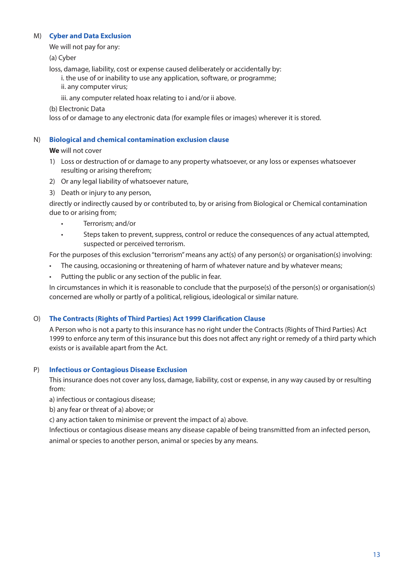## M) **Cyber and Data Exclusion**

We will not pay for any:

(a) Cyber

loss, damage, liability, cost or expense caused deliberately or accidentally by:

 i. the use of or inability to use any application, software, or programme; ii. any computer virus;

iii. any computer related hoax relating to i and/or ii above.

(b) Electronic Data

loss of or damage to any electronic data (for example files or images) wherever it is stored.

## N) **Biological and chemical contamination exclusion clause**

**We** will not cover

- 1) Loss or destruction of or damage to any property whatsoever, or any loss or expenses whatsoever resulting or arising therefrom;
- 2) Or any legal liability of whatsoever nature,
- 3) Death or injury to any person,

directly or indirectly caused by or contributed to, by or arising from Biological or Chemical contamination due to or arising from;

- Terrorism; and/or
- Steps taken to prevent, suppress, control or reduce the consequences of any actual attempted, suspected or perceived terrorism.

For the purposes of this exclusion "terrorism" means any act(s) of any person(s) or organisation(s) involving:

- The causing, occasioning or threatening of harm of whatever nature and by whatever means;
- Putting the public or any section of the public in fear.

In circumstances in which it is reasonable to conclude that the purpose(s) of the person(s) or organisation(s) concerned are wholly or partly of a political, religious, ideological or similar nature.

## O) **The Contracts (Rights of Third Parties) Act 1999 Clarification Clause**

A Person who is not a party to this insurance has no right under the Contracts (Rights of Third Parties) Act 1999 to enforce any term of this insurance but this does not affect any right or remedy of a third party which exists or is available apart from the Act.

## P) **Infectious or Contagious Disease Exclusion**

This insurance does not cover any loss, damage, liability, cost or expense, in any way caused by or resulting from:

a) infectious or contagious disease;

b) any fear or threat of a) above; or

c) any action taken to minimise or prevent the impact of a) above.

Infectious or contagious disease means any disease capable of being transmitted from an infected person, animal or species to another person, animal or species by any means.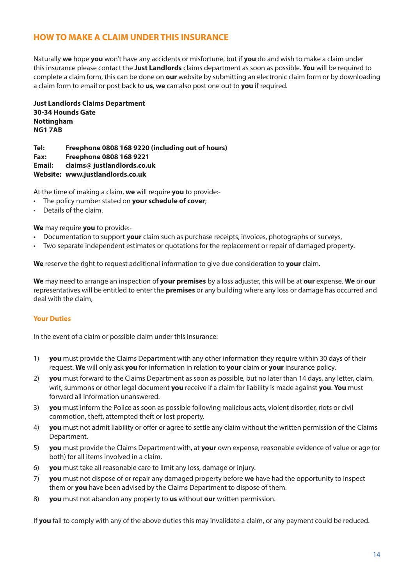## **HOW TO MAKE A CLAIM UNDER THIS INSURANCE**

Naturally **we** hope **you** won't have any accidents or misfortune, but if **you** do and wish to make a claim under this insurance please contact the **Just Landlords** claims department as soon as possible. **You** will be required to complete a claim form, this can be done on **our** website by submitting an electronic claim form or by downloading a claim form to email or post back to **us**, **we** can also post one out to **you** if required.

**Just Landlords Claims Department 30-34 Hounds Gate Nottingham NG1 7AB**

**Tel: Freephone 0808 168 9220 (including out of hours) Fax: Freephone 0808 168 9221 Email: claims@ justlandlords.co.uk Website: www.justlandlords.co.uk**

At the time of making a claim, **we** will require **you** to provide:-

- The policy number stated on **your schedule of cover**;
- Details of the claim.

**We** may require **you** to provide:-

- Documentation to support **your** claim such as purchase receipts, invoices, photographs or surveys,
- Two separate independent estimates or quotations for the replacement or repair of damaged property.

**We** reserve the right to request additional information to give due consideration to **your** claim.

**We** may need to arrange an inspection of **your premises** by a loss adjuster, this will be at **our** expense. **We** or **our** representatives will be entitled to enter the **premises** or any building where any loss or damage has occurred and deal with the claim,

### **Your Duties**

In the event of a claim or possible claim under this insurance:

- 1) **you** must provide the Claims Department with any other information they require within 30 days of their request. **We** will only ask **you** for information in relation to **your** claim or **your** insurance policy.
- 2) **you** must forward to the Claims Department as soon as possible, but no later than 14 days, any letter, claim, writ, summons or other legal document **you** receive if a claim for liability is made against **you**. **You** must forward all information unanswered.
- 3) **you** must inform the Police as soon as possible following malicious acts, violent disorder, riots or civil commotion, theft, attempted theft or lost property.
- 4) **you** must not admit liability or offer or agree to settle any claim without the written permission of the Claims Department.
- 5) **you** must provide the Claims Department with, at **your** own expense, reasonable evidence of value or age (or both) for all items involved in a claim.
- 6) **you** must take all reasonable care to limit any loss, damage or injury.
- 7) **you** must not dispose of or repair any damaged property before **we** have had the opportunity to inspect them or **you** have been advised by the Claims Department to dispose of them.
- 8) **you** must not abandon any property to **us** without **our** written permission.

If **you** fail to comply with any of the above duties this may invalidate a claim, or any payment could be reduced.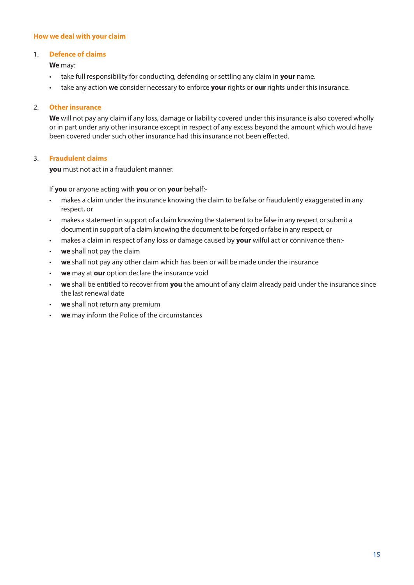### **How we deal with your claim**

### 1. **Defence of claims**

**We** may:

- take full responsibility for conducting, defending or settling any claim in **your** name.
- take any action **we** consider necessary to enforce **your** rights or **our** rights under this insurance.

## 2. **Other insurance**

**We** will not pay any claim if any loss, damage or liability covered under this insurance is also covered wholly or in part under any other insurance except in respect of any excess beyond the amount which would have been covered under such other insurance had this insurance not been effected.

## 3. **Fraudulent claims**

**you** must not act in a fraudulent manner.

If **you** or anyone acting with **you** or on **your** behalf:-

- makes a claim under the insurance knowing the claim to be false or fraudulently exaggerated in any respect, or
- makes a statement in support of a claim knowing the statement to be false in any respect or submit a document in support of a claim knowing the document to be forged or false in any respect, or
- makes a claim in respect of any loss or damage caused by **your** wilful act or connivance then:-
- **we** shall not pay the claim
- **we** shall not pay any other claim which has been or will be made under the insurance
- **we** may at **our** option declare the insurance void
- **we** shall be entitled to recover from **you** the amount of any claim already paid under the insurance since the last renewal date
- we shall not return any premium
- we may inform the Police of the circumstances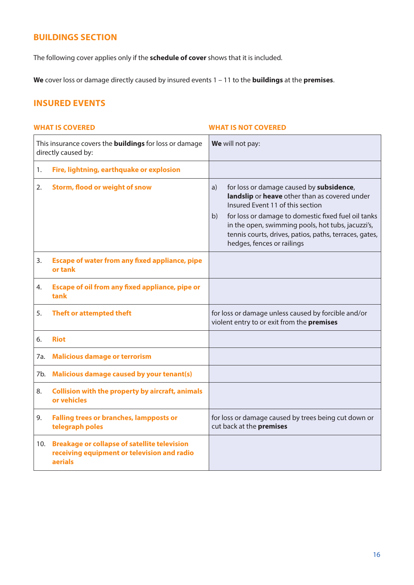## **BUILDINGS SECTION**

The following cover applies only if the **schedule of cover** shows that it is included.

**We** cover loss or damage directly caused by insured events 1 – 11 to the **buildings** at the **premises**.

## **INSURED EVENTS**

|     | This insurance covers the <b>buildings</b> for loss or damage<br>directly caused by:                          | We will not pay:                                                                                                                                                                                                                                                                                                                              |
|-----|---------------------------------------------------------------------------------------------------------------|-----------------------------------------------------------------------------------------------------------------------------------------------------------------------------------------------------------------------------------------------------------------------------------------------------------------------------------------------|
| 1.  | Fire, lightning, earthquake or explosion                                                                      |                                                                                                                                                                                                                                                                                                                                               |
| 2.  | <b>Storm, flood or weight of snow</b>                                                                         | for loss or damage caused by subsidence,<br>a)<br>landslip or heave other than as covered under<br>Insured Event 11 of this section<br>for loss or damage to domestic fixed fuel oil tanks<br>b)<br>in the open, swimming pools, hot tubs, jacuzzi's,<br>tennis courts, drives, patios, paths, terraces, gates,<br>hedges, fences or railings |
| 3.  | <b>Escape of water from any fixed appliance, pipe</b><br>or tank                                              |                                                                                                                                                                                                                                                                                                                                               |
| 4.  | Escape of oil from any fixed appliance, pipe or<br>tank                                                       |                                                                                                                                                                                                                                                                                                                                               |
| 5.  | Theft or attempted theft                                                                                      | for loss or damage unless caused by forcible and/or<br>violent entry to or exit from the premises                                                                                                                                                                                                                                             |
| 6.  | <b>Riot</b>                                                                                                   |                                                                                                                                                                                                                                                                                                                                               |
| 7a. | <b>Malicious damage or terrorism</b>                                                                          |                                                                                                                                                                                                                                                                                                                                               |
| 7b. | <b>Malicious damage caused by your tenant(s)</b>                                                              |                                                                                                                                                                                                                                                                                                                                               |
| 8.  | <b>Collision with the property by aircraft, animals</b><br>or vehicles                                        |                                                                                                                                                                                                                                                                                                                                               |
| 9.  | <b>Falling trees or branches, lampposts or</b><br>telegraph poles                                             | for loss or damage caused by trees being cut down or<br>cut back at the premises                                                                                                                                                                                                                                                              |
| 10. | <b>Breakage or collapse of satellite television</b><br>receiving equipment or television and radio<br>aerials |                                                                                                                                                                                                                                                                                                                                               |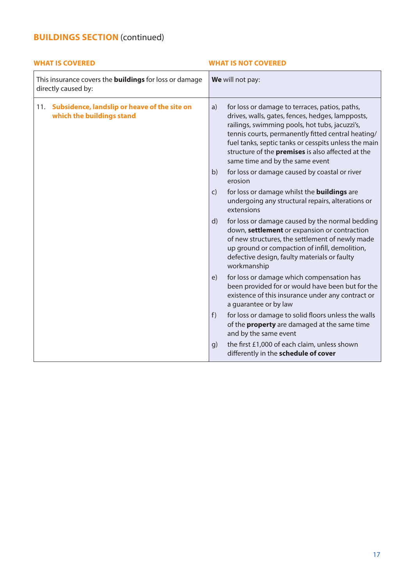| <b>WHAT IS COVERED</b>                                                               | <b>WHAT IS NOT COVERED</b>                                                                                                                                                                                                                                                                                                                                              |
|--------------------------------------------------------------------------------------|-------------------------------------------------------------------------------------------------------------------------------------------------------------------------------------------------------------------------------------------------------------------------------------------------------------------------------------------------------------------------|
| This insurance covers the <b>buildings</b> for loss or damage<br>directly caused by: | We will not pay:                                                                                                                                                                                                                                                                                                                                                        |
| 11. Subsidence, landslip or heave of the site on<br>which the buildings stand        | for loss or damage to terraces, patios, paths,<br>a)<br>drives, walls, gates, fences, hedges, lampposts,<br>railings, swimming pools, hot tubs, jacuzzi's,<br>tennis courts, permanently fitted central heating/<br>fuel tanks, septic tanks or cesspits unless the main<br>structure of the <b>premises</b> is also affected at the<br>same time and by the same event |
|                                                                                      | for loss or damage caused by coastal or river<br>b)<br>erosion                                                                                                                                                                                                                                                                                                          |
|                                                                                      | for loss or damage whilst the <b>buildings</b> are<br>$\mathsf{C}$<br>undergoing any structural repairs, alterations or<br>extensions                                                                                                                                                                                                                                   |
|                                                                                      | d)<br>for loss or damage caused by the normal bedding<br>down, settlement or expansion or contraction<br>of new structures, the settlement of newly made<br>up ground or compaction of infill, demolition,<br>defective design, faulty materials or faulty<br>workmanship                                                                                               |
|                                                                                      | for loss or damage which compensation has<br>e)<br>been provided for or would have been but for the<br>existence of this insurance under any contract or<br>a guarantee or by law                                                                                                                                                                                       |
|                                                                                      | f)<br>for loss or damage to solid floors unless the walls<br>of the <b>property</b> are damaged at the same time<br>and by the same event                                                                                                                                                                                                                               |
|                                                                                      | the first £1,000 of each claim, unless shown<br>g)<br>differently in the schedule of cover                                                                                                                                                                                                                                                                              |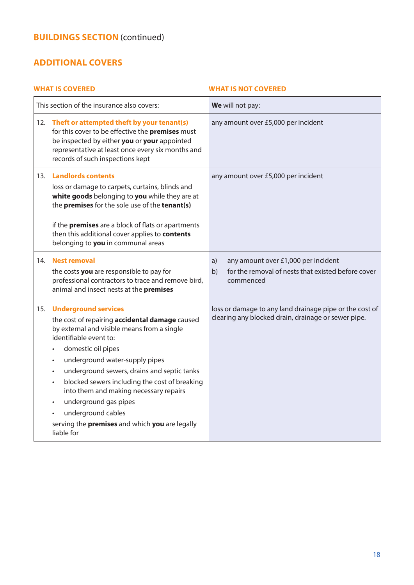## **ADDITIONAL COVERS**

## **WHAT IS COVERED WHAT IS NOT COVERED** This section of the insurance also covers: **We** will not pay: 12. **Theft or attempted theft by your tenant(s)** for this cover to be effective the **premises** must be inspected by either **you** or **your** appointed representative at least once every six months and records of such inspections kept any amount over £5,000 per incident 13. **Landlords contents**  loss or damage to carpets, curtains, blinds and **white goods** belonging to **you** while they are at the **premises** for the sole use of the **tenant(s)** if the **premises** are a block of flats or apartments then this additional cover applies to **contents** belonging to **you** in communal areas any amount over £5,000 per incident 14. **Nest removal**  the costs **you** are responsible to pay for professional contractors to trace and remove bird, animal and insect nests at the **premises** a) any amount over £1,000 per incident b) for the removal of nests that existed before cover commenced 15. **Underground services** the cost of repairing **accidental damage** caused by external and visible means from a single identifiable event to: • domestic oil pipes • underground water-supply pipes • underground sewers, drains and septic tanks • blocked sewers including the cost of breaking into them and making necessary repairs • underground gas pipes • underground cables serving the **premises** and which **you** are legally liable for loss or damage to any land drainage pipe or the cost of clearing any blocked drain, drainage or sewer pipe.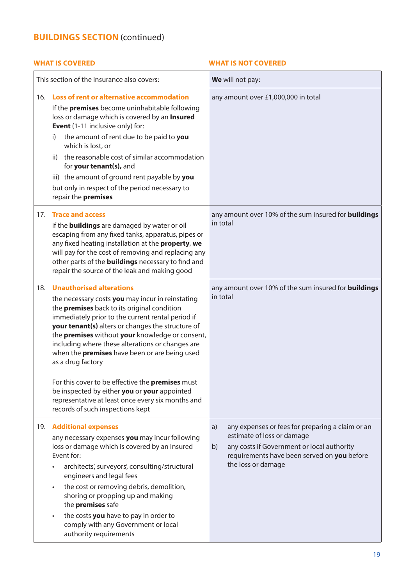|     | This section of the insurance also covers:                                                                                                                                                                                                                                                                                                                                                                                                                                     | We will not pay:                                                                                                                                                                                              |
|-----|--------------------------------------------------------------------------------------------------------------------------------------------------------------------------------------------------------------------------------------------------------------------------------------------------------------------------------------------------------------------------------------------------------------------------------------------------------------------------------|---------------------------------------------------------------------------------------------------------------------------------------------------------------------------------------------------------------|
|     | 16. Loss of rent or alternative accommodation<br>If the premises become uninhabitable following<br>loss or damage which is covered by an Insured<br><b>Event</b> (1-11 inclusive only) for:<br>the amount of rent due to be paid to you<br>i)<br>which is lost, or<br>the reasonable cost of similar accommodation<br>ii)<br>for your tenant(s), and<br>iii) the amount of ground rent payable by you<br>but only in respect of the period necessary to<br>repair the premises | any amount over £1,000,000 in total                                                                                                                                                                           |
|     | 17. Trace and access<br>if the <b>buildings</b> are damaged by water or oil<br>escaping from any fixed tanks, apparatus, pipes or<br>any fixed heating installation at the property, we<br>will pay for the cost of removing and replacing any<br>other parts of the <b>buildings</b> necessary to find and<br>repair the source of the leak and making good                                                                                                                   | any amount over 10% of the sum insured for <b>buildings</b><br>in total                                                                                                                                       |
| 18. | <b>Unauthorised alterations</b><br>the necessary costs you may incur in reinstating<br>the premises back to its original condition<br>immediately prior to the current rental period if<br>your tenant(s) alters or changes the structure of<br>the premises without your knowledge or consent,<br>including where these alterations or changes are<br>when the <b>premises</b> have been or are being used<br>as a drug factory                                               | any amount over 10% of the sum insured for <b>buildings</b><br>in total                                                                                                                                       |
|     | For this cover to be effective the premises must<br>be inspected by either you or your appointed<br>representative at least once every six months and<br>records of such inspections kept                                                                                                                                                                                                                                                                                      |                                                                                                                                                                                                               |
| 19. | <b>Additional expenses</b><br>any necessary expenses you may incur following<br>loss or damage which is covered by an Insured<br>Event for:<br>architects', surveyors', consulting/structural<br>engineers and legal fees<br>the cost or removing debris, demolition,<br>$\bullet$<br>shoring or propping up and making<br>the premises safe<br>the costs you have to pay in order to<br>$\bullet$<br>comply with any Government or local<br>authority requirements            | any expenses or fees for preparing a claim or an<br>a)<br>estimate of loss or damage<br>any costs if Government or local authority<br>b)<br>requirements have been served on you before<br>the loss or damage |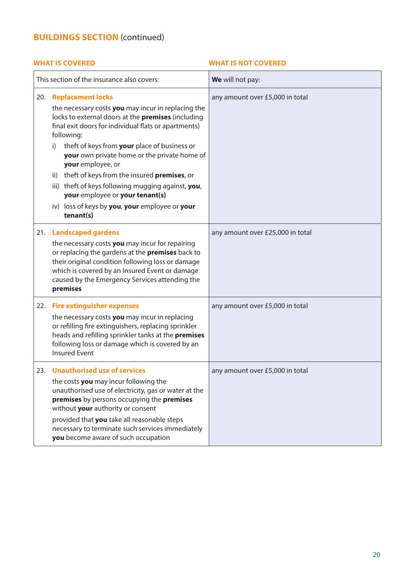|     | This section of the insurance also covers:                                                                                                                                                                                                                                                                                                                                                                                                                                                                                                                  | We will not pay:                 |
|-----|-------------------------------------------------------------------------------------------------------------------------------------------------------------------------------------------------------------------------------------------------------------------------------------------------------------------------------------------------------------------------------------------------------------------------------------------------------------------------------------------------------------------------------------------------------------|----------------------------------|
| 20. | <b>Replacement locks</b><br>the necessary costs you may incur in replacing the<br>locks to external doors at the premises (including<br>final exit doors for individual flats or apartments)<br>following:<br>theft of keys from your place of business or<br>i)<br>your own private home or the private home of<br>your employee, or<br>theft of keys from the insured <b>premises</b> , or<br>ii)<br>iii) theft of keys following mugging against, you,<br>your employee or your tenant(s)<br>iv) loss of keys by you, your employee or your<br>tenant(s) | any amount over £5,000 in total  |
| 21. | <b>Landscaped gardens</b><br>the necessary costs you may incur for repairing<br>or replacing the gardens at the <b>premises</b> back to<br>their original condition following loss or damage<br>which is covered by an Insured Event or damage<br>caused by the Emergency Services attending the<br>premises                                                                                                                                                                                                                                                | any amount over £25,000 in total |
| 22. | <b>Fire extinguisher expenses</b><br>the necessary costs you may incur in replacing<br>or refilling fire extinguishers, replacing sprinkler<br>heads and refilling sprinkler tanks at the premises<br>following loss or damage which is covered by an<br><b>Insured Event</b>                                                                                                                                                                                                                                                                               | any amount over £5,000 in total  |
| 23. | <b>Unauthorised use of services</b><br>the costs you may incur following the<br>unauthorised use of electricity, gas or water at the<br>premises by persons occupying the premises<br>without your authority or consent<br>provided that you take all reasonable steps<br>necessary to terminate such services immediately<br>you become aware of such occupation                                                                                                                                                                                           | any amount over £5,000 in total  |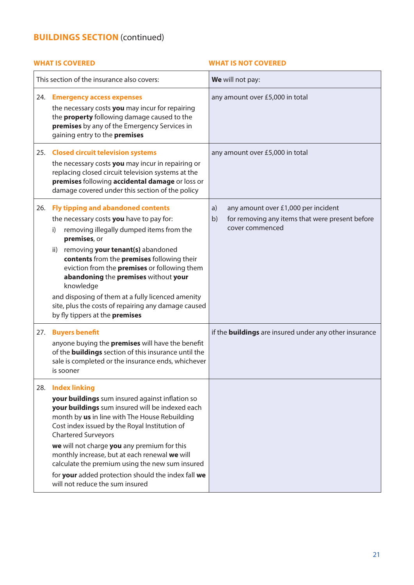| This section of the insurance also covers:                                                                                                                                                                                                                                                                                                                                                                                                                                                                                | We will not pay:                                                                                                      |
|---------------------------------------------------------------------------------------------------------------------------------------------------------------------------------------------------------------------------------------------------------------------------------------------------------------------------------------------------------------------------------------------------------------------------------------------------------------------------------------------------------------------------|-----------------------------------------------------------------------------------------------------------------------|
| 24.<br><b>Emergency access expenses</b><br>the necessary costs you may incur for repairing<br>the <b>property</b> following damage caused to the<br>premises by any of the Emergency Services in<br>gaining entry to the premises                                                                                                                                                                                                                                                                                         | any amount over £5,000 in total                                                                                       |
| 25. Closed circuit television systems<br>the necessary costs you may incur in repairing or<br>replacing closed circuit television systems at the<br>premises following accidental damage or loss or<br>damage covered under this section of the policy                                                                                                                                                                                                                                                                    | any amount over £5,000 in total                                                                                       |
| <b>Fly tipping and abandoned contents</b><br>26.<br>the necessary costs you have to pay for:<br>removing illegally dumped items from the<br>i)<br>premises, or<br>removing your tenant(s) abandoned<br>ii)<br>contents from the premises following their<br>eviction from the <b>premises</b> or following them<br>abandoning the premises without your<br>knowledge<br>and disposing of them at a fully licenced amenity<br>site, plus the costs of repairing any damage caused<br>by fly tippers at the <b>premises</b> | any amount over £1,000 per incident<br>a)<br>b)<br>for removing any items that were present before<br>cover commenced |
| 27.<br><b>Buyers benefit</b><br>anyone buying the <b>premises</b> will have the benefit<br>of the <b>buildings</b> section of this insurance until the<br>sale is completed or the insurance ends, whichever<br>is sooner                                                                                                                                                                                                                                                                                                 | if the <b>buildings</b> are insured under any other insurance                                                         |
| <b>Index linking</b><br>28.<br>your buildings sum insured against inflation so<br>your buildings sum insured will be indexed each<br>month by us in line with The House Rebuilding<br>Cost index issued by the Royal Institution of<br><b>Chartered Surveyors</b><br>we will not charge you any premium for this<br>monthly increase, but at each renewal we will<br>calculate the premium using the new sum insured<br>for your added protection should the index fall we<br>will not reduce the sum insured             |                                                                                                                       |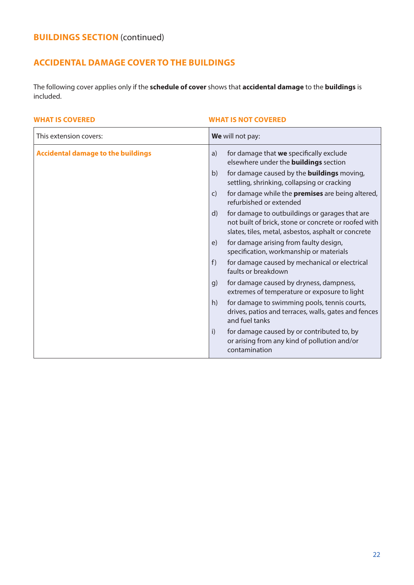## **ACCIDENTAL DAMAGE COVER TO THE BUILDINGS**

The following cover applies only if the **schedule of cover** shows that **accidental damage** to the **buildings** is included.

| This extension covers:                    | We will not pay:                                                                                                                                                                                                                                                                                                                                                                                                                                                                                                                                                                                                                                                                                                                                                                                                                                                                                                                                                                                                              |
|-------------------------------------------|-------------------------------------------------------------------------------------------------------------------------------------------------------------------------------------------------------------------------------------------------------------------------------------------------------------------------------------------------------------------------------------------------------------------------------------------------------------------------------------------------------------------------------------------------------------------------------------------------------------------------------------------------------------------------------------------------------------------------------------------------------------------------------------------------------------------------------------------------------------------------------------------------------------------------------------------------------------------------------------------------------------------------------|
| <b>Accidental damage to the buildings</b> | for damage that we specifically exclude<br>a)<br>elsewhere under the <b>buildings</b> section<br>for damage caused by the <b>buildings</b> moving,<br>b)<br>settling, shrinking, collapsing or cracking<br>for damage while the <b>premises</b> are being altered,<br>$\mathsf{C}$<br>refurbished or extended<br>for damage to outbuildings or garages that are<br>$\mathsf{d}$<br>not built of brick, stone or concrete or roofed with<br>slates, tiles, metal, asbestos, asphalt or concrete<br>for damage arising from faulty design,<br>e)<br>specification, workmanship or materials<br>for damage caused by mechanical or electrical<br>f)<br>faults or breakdown<br>for damage caused by dryness, dampness,<br>q)<br>extremes of temperature or exposure to light<br>for damage to swimming pools, tennis courts,<br>h)<br>drives, patios and terraces, walls, gates and fences<br>and fuel tanks<br>i)<br>for damage caused by or contributed to, by<br>or arising from any kind of pollution and/or<br>contamination |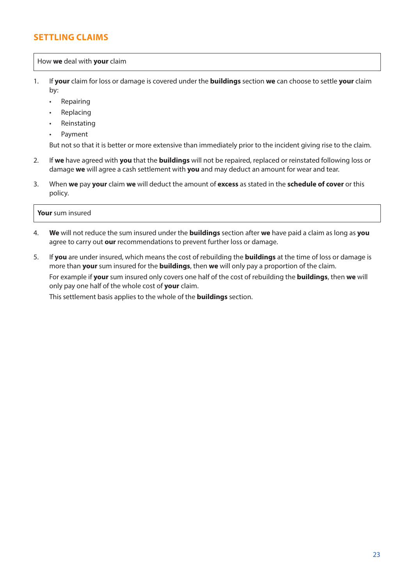## **SETTLING CLAIMS**

## How **we** deal with **your** claim

- 1. If **your** claim for loss or damage is covered under the **buildings** section **we** can choose to settle **your** claim by:
	- Repairing
	- **Replacing**
	- **Reinstating**
	- Payment

But not so that it is better or more extensive than immediately prior to the incident giving rise to the claim.

- 2. If **we** have agreed with **you** that the **buildings** will not be repaired, replaced or reinstated following loss or damage **we** will agree a cash settlement with **you** and may deduct an amount for wear and tear.
- 3. When **we** pay **your** claim **we** will deduct the amount of **excess** as stated in the **schedule of cover** or this policy.

### **Your** sum insured

- 4. **We** will not reduce the sum insured under the **buildings** section after **we** have paid a claim as long as **you** agree to carry out **our** recommendations to prevent further loss or damage.
- 5. If **you** are under insured, which means the cost of rebuilding the **buildings** at the time of loss or damage is more than **your** sum insured for the **buildings**, then **we** will only pay a proportion of the claim.

For example if **your** sum insured only covers one half of the cost of rebuilding the **buildings**, then **we** will only pay one half of the whole cost of **your** claim.

This settlement basis applies to the whole of the **buildings** section.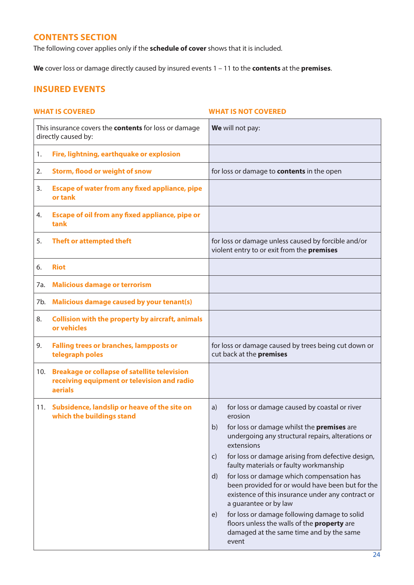## **CONTENTS SECTION**

The following cover applies only if the **schedule of cover** shows that it is included.

**We** cover loss or damage directly caused by insured events 1 – 11 to the **contents** at the **premises**.

## **INSURED EVENTS**

## **WHAT IS COVERED WHAT IS NOT COVERED** This insurance covers the **contents** for loss or damage directly caused by: **We** will not pay: 1. **Fire, lightning, earthquake or explosion** 2. **Storm, flood or weight of snow** for loss or damage to **contents** in the open 3. **Escape of water from any fixed appliance, pipe or tank** 4. **Escape of oil from any fixed appliance, pipe or tank** 5. **Theft or attempted theft** for loss or damage unless caused by forcible and/or violent entry to or exit from the **premises** 6. **Riot** 7a. **Malicious damage or terrorism** 7b. **Malicious damage caused by your tenant(s)** 8. **Collision with the property by aircraft, animals or vehicles** 9. **Falling trees or branches, lampposts or telegraph poles** for loss or damage caused by trees being cut down or cut back at the **premises** 10. **Breakage or collapse of satellite television receiving equipment or television and radio aerials** 11. **Subsidence, landslip or heave of the site on which the buildings stand** a) for loss or damage caused by coastal or river erosion b) for loss or damage whilst the **premises** are undergoing any structural repairs, alterations or extensions c) for loss or damage arising from defective design, faulty materials or faulty workmanship d) for loss or damage which compensation has been provided for or would have been but for the existence of this insurance under any contract or a guarantee or by law e) for loss or damage following damage to solid floors unless the walls of the **property** are damaged at the same time and by the same event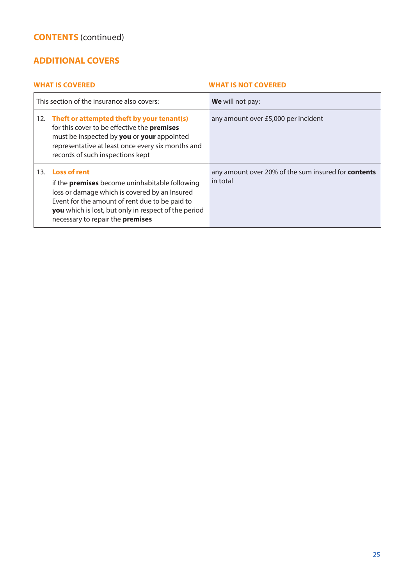## **ADDITIONAL COVERS**

| This section of the insurance also covers:                                                                                                                                                                                                                               | We will not pay:                                                       |
|--------------------------------------------------------------------------------------------------------------------------------------------------------------------------------------------------------------------------------------------------------------------------|------------------------------------------------------------------------|
| 12. Theft or attempted theft by your tenant(s)<br>for this cover to be effective the <b>premises</b><br>must be inspected by you or your appointed<br>representative at least once every six months and<br>records of such inspections kept                              | any amount over £5,000 per incident                                    |
| 13. Loss of rent<br>if the <b>premises</b> become uninhabitable following<br>loss or damage which is covered by an Insured<br>Event for the amount of rent due to be paid to<br>you which is lost, but only in respect of the period<br>necessary to repair the premises | any amount over 20% of the sum insured for <b>contents</b><br>in total |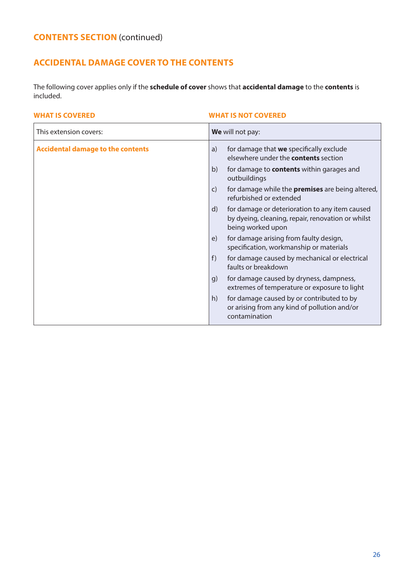## **ACCIDENTAL DAMAGE COVER TO THE CONTENTS**

The following cover applies only if the **schedule of cover** shows that **accidental damage** to the **contents** is included.

| This extension covers:                   | We will not pay:                                                                                                                                                                                                                                                                                                                                                                                                                                                                                                                                                                                                                                                                                                                                                                                      |
|------------------------------------------|-------------------------------------------------------------------------------------------------------------------------------------------------------------------------------------------------------------------------------------------------------------------------------------------------------------------------------------------------------------------------------------------------------------------------------------------------------------------------------------------------------------------------------------------------------------------------------------------------------------------------------------------------------------------------------------------------------------------------------------------------------------------------------------------------------|
| <b>Accidental damage to the contents</b> | for damage that we specifically exclude<br>a)<br>elsewhere under the <b>contents</b> section<br>b)<br>for damage to contents within garages and<br>outbuildings<br>for damage while the <b>premises</b> are being altered,<br>$\mathsf{C}$<br>refurbished or extended<br>for damage or deterioration to any item caused<br>d)<br>by dyeing, cleaning, repair, renovation or whilst<br>being worked upon<br>for damage arising from faulty design,<br>e)<br>specification, workmanship or materials<br>for damage caused by mechanical or electrical<br>f)<br>faults or breakdown<br>for damage caused by dryness, dampness,<br>g)<br>extremes of temperature or exposure to light<br>for damage caused by or contributed to by<br>h)<br>or arising from any kind of pollution and/or<br>contamination |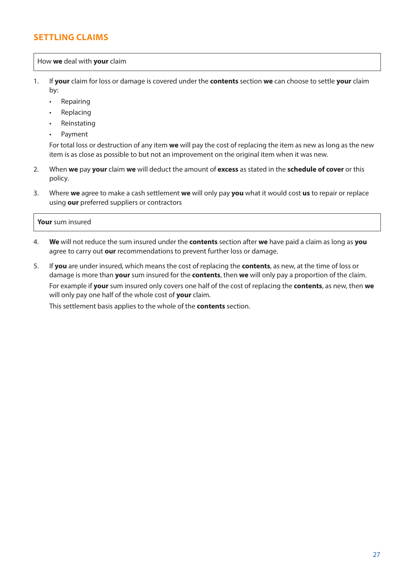## **SETTLING CLAIMS**

## How **we** deal with **your** claim

- 1. If **your** claim for loss or damage is covered under the **contents** section **we** can choose to settle **your** claim by:
	- Repairing
	- **Replacing**
	- **Reinstating**
	- Payment

For total loss or destruction of any item **we** will pay the cost of replacing the item as new as long as the new item is as close as possible to but not an improvement on the original item when it was new.

- 2. When **we** pay **your** claim **we** will deduct the amount of **excess** as stated in the **schedule of cover** or this policy.
- 3. Where **we** agree to make a cash settlement **we** will only pay **you** what it would cost **us** to repair or replace using **our** preferred suppliers or contractors

## **Your** sum insured

- 4. **We** will not reduce the sum insured under the **contents** section after **we** have paid a claim as long as **you** agree to carry out **our** recommendations to prevent further loss or damage.
- 5. If **you** are under insured, which means the cost of replacing the **contents**, as new, at the time of loss or damage is more than **your** sum insured for the **contents**, then **we** will only pay a proportion of the claim. For example if **your** sum insured only covers one half of the cost of replacing the **contents**, as new, then **we** will only pay one half of the whole cost of **your** claim.

This settlement basis applies to the whole of the **contents** section.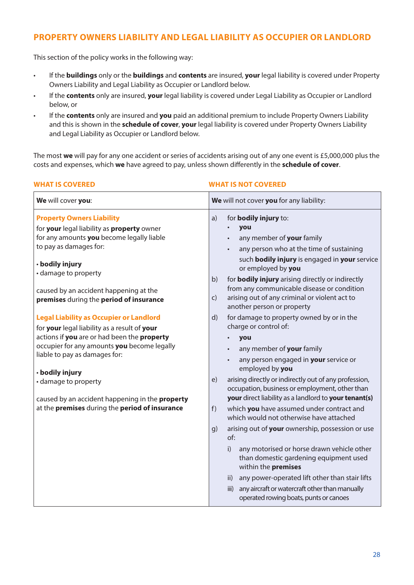## **PROPERTY OWNERS LIABILITY AND LEGAL LIABILITY AS OCCUPIER OR LANDLORD**

This section of the policy works in the following way:

- If the **buildings** only or the **buildings** and **contents** are insured, **your** legal liability is covered under Property Owners Liability and Legal Liability as Occupier or Landlord below.
- If the **contents** only are insured, **your** legal liability is covered under Legal Liability as Occupier or Landlord below, or
- If the **contents** only are insured and **you** paid an additional premium to include Property Owners Liability and this is shown in the **schedule of cover**, **your** legal liability is covered under Property Owners Liability and Legal Liability as Occupier or Landlord below.

The most **we** will pay for any one accident or series of accidents arising out of any one event is £5,000,000 plus the costs and expenses, which **we** have agreed to pay, unless shown differently in the **schedule of cover**.

| <b>WHAT IS COVERED</b>                                                                                                                                                                                                                                                                                                                                                                                                                                                                                                                                                                                                                                                 | <b>WHAT IS NOT COVERED</b>                                                                                                                                                                                                                                                                                                                                                                                                                                                                                                                                                                                                                                                                                                                                                                                                                                                                                                                                                                                                                                                                                                                                                                                     |
|------------------------------------------------------------------------------------------------------------------------------------------------------------------------------------------------------------------------------------------------------------------------------------------------------------------------------------------------------------------------------------------------------------------------------------------------------------------------------------------------------------------------------------------------------------------------------------------------------------------------------------------------------------------------|----------------------------------------------------------------------------------------------------------------------------------------------------------------------------------------------------------------------------------------------------------------------------------------------------------------------------------------------------------------------------------------------------------------------------------------------------------------------------------------------------------------------------------------------------------------------------------------------------------------------------------------------------------------------------------------------------------------------------------------------------------------------------------------------------------------------------------------------------------------------------------------------------------------------------------------------------------------------------------------------------------------------------------------------------------------------------------------------------------------------------------------------------------------------------------------------------------------|
| We will cover you:                                                                                                                                                                                                                                                                                                                                                                                                                                                                                                                                                                                                                                                     | We will not cover you for any liability:                                                                                                                                                                                                                                                                                                                                                                                                                                                                                                                                                                                                                                                                                                                                                                                                                                                                                                                                                                                                                                                                                                                                                                       |
| <b>Property Owners Liability</b><br>for your legal liability as property owner<br>for any amounts you become legally liable<br>to pay as damages for:<br>· bodily injury<br>• damage to property<br>caused by an accident happening at the<br>premises during the period of insurance<br><b>Legal Liability as Occupier or Landlord</b><br>for your legal liability as a result of your<br>actions if you are or had been the property<br>occupier for any amounts you become legally<br>liable to pay as damages for:<br>· bodily injury<br>• damage to property<br>caused by an accident happening in the property<br>at the premises during the period of insurance | a)<br>for <b>bodily injury</b> to:<br>you<br>any member of your family<br>any person who at the time of sustaining<br>such <b>bodily injury</b> is engaged in your service<br>or employed by you<br>for bodily injury arising directly or indirectly<br>b)<br>from any communicable disease or condition<br>arising out of any criminal or violent act to<br>$\mathsf{C}$<br>another person or property<br>for damage to property owned by or in the<br>d)<br>charge or control of:<br>you<br>any member of your family<br>any person engaged in your service or<br>employed by you<br>arising directly or indirectly out of any profession,<br>e)<br>occupation, business or employment, other than<br>your direct liability as a landlord to your tenant(s)<br>which you have assumed under contract and<br>f)<br>which would not otherwise have attached<br>arising out of your ownership, possession or use<br>g)<br>of:<br>any motorised or horse drawn vehicle other<br>i)<br>than domestic gardening equipment used<br>within the premises<br>any power-operated lift other than stair lifts<br>ii)<br>any aircraft or watercraft other than manually<br>iii)<br>operated rowing boats, punts or canoes |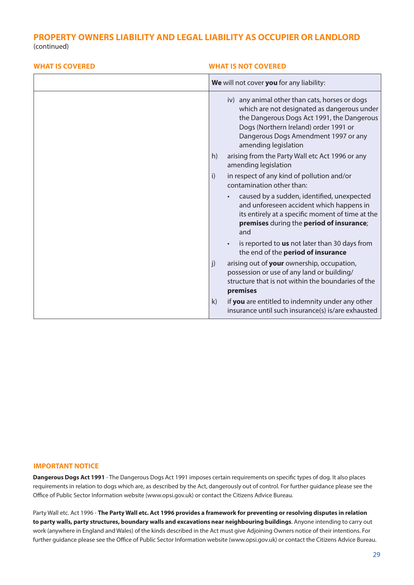## **PROPERTY OWNERS LIABILITY AND LEGAL LIABILITY AS OCCUPIER OR LANDLORD**

(continued)

## **WHAT IS COVERED WHAT IS NOT COVERED We** will not cover **you** for any liability: iv) any animal other than cats, horses or dogs which are not designated as dangerous under the Dangerous Dogs Act 1991, the Dangerous Dogs (Northern Ireland) order 1991 or Dangerous Dogs Amendment 1997 or any amending legislation h) arising from the Party Wall etc Act 1996 or any amending legislation i) in respect of any kind of pollution and/or contamination other than: • caused by a sudden, identified, unexpected and unforeseen accident which happens in its entirely at a specific moment of time at the **premises** during the **period of insurance**; and • is reported to **us** not later than 30 days from the end of the **period of insurance** j) arising out of **your** ownership, occupation, possession or use of any land or building/ structure that is not within the boundaries of the **premises** k) if **you** are entitled to indemnity under any other insurance until such insurance(s) is/are exhausted

#### **IMPORTANT NOTICE**

**Dangerous Dogs Act 1991** - The Dangerous Dogs Act 1991 imposes certain requirements on specific types of dog. It also places requirements in relation to dogs which are, as described by the Act, dangerously out of control. For further guidance please see the Office of Public Sector Information website (www.opsi.gov.uk) or contact the Citizens Advice Bureau.

Party Wall etc. Act 1996 - **The Party Wall etc. Act 1996 provides a framework for preventing or resolving disputes in relation to party walls, party structures, boundary walls and excavations near neighbouring buildings**. Anyone intending to carry out work (anywhere in England and Wales) of the kinds described in the Act must give Adjoining Owners notice of their intentions. For further guidance please see the Office of Public Sector Information website (www.opsi.gov.uk) or contact the Citizens Advice Bureau.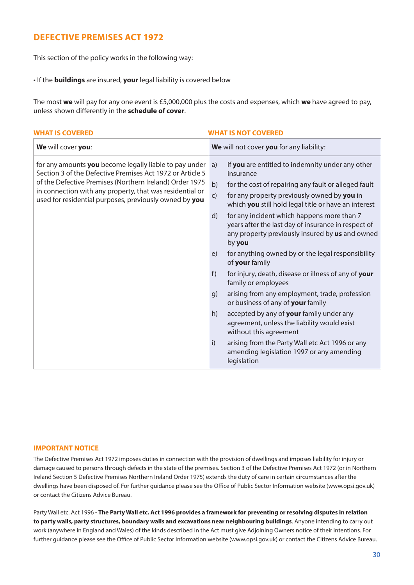## **DEFECTIVE PREMISES ACT 1972**

This section of the policy works in the following way:

• If the **buildings** are insured, **your** legal liability is covered below

The most **we** will pay for any one event is £5,000,000 plus the costs and expenses, which **we** have agreed to pay, unless shown differently in the **schedule of cover**.

| <b>WHAT IS COVERED</b>                                                                                                                                                                                                                                                                               | <b>WHAT IS NOT COVERED</b>                                                                                                                                                                                                                                                                                                                                                                                                                                                                                                                                                                                                                                                                                                                                                                                                                                                                                                                      |
|------------------------------------------------------------------------------------------------------------------------------------------------------------------------------------------------------------------------------------------------------------------------------------------------------|-------------------------------------------------------------------------------------------------------------------------------------------------------------------------------------------------------------------------------------------------------------------------------------------------------------------------------------------------------------------------------------------------------------------------------------------------------------------------------------------------------------------------------------------------------------------------------------------------------------------------------------------------------------------------------------------------------------------------------------------------------------------------------------------------------------------------------------------------------------------------------------------------------------------------------------------------|
| We will cover you:                                                                                                                                                                                                                                                                                   | We will not cover you for any liability:                                                                                                                                                                                                                                                                                                                                                                                                                                                                                                                                                                                                                                                                                                                                                                                                                                                                                                        |
| for any amounts you become legally liable to pay under<br>Section 3 of the Defective Premises Act 1972 or Article 5<br>of the Defective Premises (Northern Ireland) Order 1975<br>in connection with any property, that was residential or<br>used for residential purposes, previously owned by you | if you are entitled to indemnity under any other<br>a)<br>insurance<br>b)<br>for the cost of repairing any fault or alleged fault<br>for any property previously owned by you in<br>$\mathsf{C}$<br>which you still hold legal title or have an interest<br>for any incident which happens more than 7<br>d)<br>years after the last day of insurance in respect of<br>any property previously insured by us and owned<br>by you<br>for anything owned by or the legal responsibility<br>e)<br>of your family<br>f)<br>for injury, death, disease or illness of any of your<br>family or employees<br>arising from any employment, trade, profession<br>q)<br>or business of any of your family<br>accepted by any of your family under any<br>h)<br>agreement, unless the liability would exist<br>without this agreement<br>i)<br>arising from the Party Wall etc Act 1996 or any<br>amending legislation 1997 or any amending<br>legislation |

#### **IMPORTANT NOTICE**

The Defective Premises Act 1972 imposes duties in connection with the provision of dwellings and imposes liability for injury or damage caused to persons through defects in the state of the premises. Section 3 of the Defective Premises Act 1972 (or in Northern Ireland Section 5 Defective Premises Northern Ireland Order 1975) extends the duty of care in certain circumstances after the dwellings have been disposed of. For further guidance please see the Office of Public Sector Information website (www.opsi.gov.uk) or contact the Citizens Advice Bureau.

Party Wall etc. Act 1996 - **The Party Wall etc. Act 1996 provides a framework for preventing or resolving disputes in relation to party walls, party structures, boundary walls and excavations near neighbouring buildings**. Anyone intending to carry out work (anywhere in England and Wales) of the kinds described in the Act must give Adjoining Owners notice of their intentions. For further guidance please see the Office of Public Sector Information website (www.opsi.gov.uk) or contact the Citizens Advice Bureau.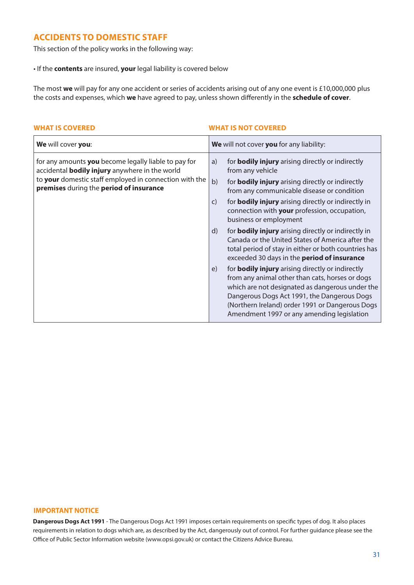## **ACCIDENTS TO DOMESTIC STAFF**

This section of the policy works in the following way:

• If the **contents** are insured, **your** legal liability is covered below

The most **we** will pay for any one accident or series of accidents arising out of any one event is £10,000,000 plus the costs and expenses, which **we** have agreed to pay, unless shown differently in the **schedule of cover**.

### **WHAT IS COVERED WHAT IS NOT COVERED**

| We will cover you:                                                                                                                                                                                                 | We will not cover you for any liability:                                                                                                                                                                                                                                                                                                                                                                                                                                                                                                                                                                                                                                                                                                                                                                                                                                                                                        |
|--------------------------------------------------------------------------------------------------------------------------------------------------------------------------------------------------------------------|---------------------------------------------------------------------------------------------------------------------------------------------------------------------------------------------------------------------------------------------------------------------------------------------------------------------------------------------------------------------------------------------------------------------------------------------------------------------------------------------------------------------------------------------------------------------------------------------------------------------------------------------------------------------------------------------------------------------------------------------------------------------------------------------------------------------------------------------------------------------------------------------------------------------------------|
| for any amounts you become legally liable to pay for<br>accidental <b>bodily injury</b> anywhere in the world<br>to your domestic staff employed in connection with the<br>premises during the period of insurance | for <b>bodily injury</b> arising directly or indirectly<br>a)<br>from any vehicle<br>b)<br>for <b>bodily injury</b> arising directly or indirectly<br>from any communicable disease or condition<br>for <b>bodily injury</b> arising directly or indirectly in<br>$\mathsf{C}$<br>connection with your profession, occupation,<br>business or employment<br>for <b>bodily injury</b> arising directly or indirectly in<br>$\mathsf{d}$<br>Canada or the United States of America after the<br>total period of stay in either or both countries has<br>exceeded 30 days in the <b>period of insurance</b><br>for <b>bodily injury</b> arising directly or indirectly<br>e)<br>from any animal other than cats, horses or dogs<br>which are not designated as dangerous under the<br>Dangerous Dogs Act 1991, the Dangerous Dogs<br>(Northern Ireland) order 1991 or Dangerous Dogs<br>Amendment 1997 or any amending legislation |

#### **IMPORTANT NOTICE**

**Dangerous Dogs Act 1991** - The Dangerous Dogs Act 1991 imposes certain requirements on specific types of dog. It also places requirements in relation to dogs which are, as described by the Act, dangerously out of control. For further guidance please see the Office of Public Sector Information website (www.opsi.gov.uk) or contact the Citizens Advice Bureau.